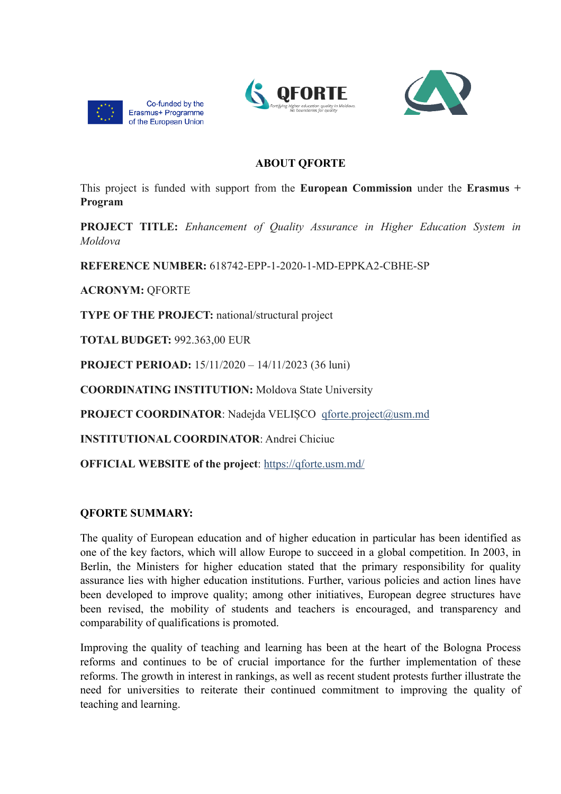





### **ABOUT QFORTE**

This project is funded with support from the **European Commission** under the **Erasmus + Program**

**PROJECT TITLE:** *Enhancement of Quality Assurance in Higher Education System in Moldova*

**REFERENCE NUMBER:** 618742-EPP-1-2020-1-MD-EPPKA2-CBHE-SP

**ACRONYM:** QFORTE

**TYPE OF THE PROJECT:** national/structural project

**TOTAL BUDGET:** 992.363,00 EUR

**PROJECT PERIOAD:** 15/11/2020 – 14/11/2023 (36 luni)

**COORDINATING INSTITUTION:** Moldova State University

**PROJECT COORDINATOR:** Nadejda VELIȘCO gforte.project@usm.md

**INSTITUTIONAL COORDINATOR**: Andrei Chiciuc

**OFFICIAL WEBSITE of the project**: <https://qforte.usm.md/>

### **QFORTE SUMMARY:**

The quality of European education and of higher education in particular has been identified as one of the key factors, which will allow Europe to succeed in a global competition. In 2003, in Berlin, the Ministers for higher education stated that the primary responsibility for quality assurance lies with higher education institutions. Further, various policies and action lines have been developed to improve quality; among other initiatives, European degree structures have been revised, the mobility of students and teachers is encouraged, and transparency and comparability of qualifications is promoted.

Improving the quality of teaching and learning has been at the heart of the Bologna Process reforms and continues to be of crucial importance for the further implementation of these reforms. The growth in interest in rankings, as well as recent student protests further illustrate the need for universities to reiterate their continued commitment to improving the quality of teaching and learning.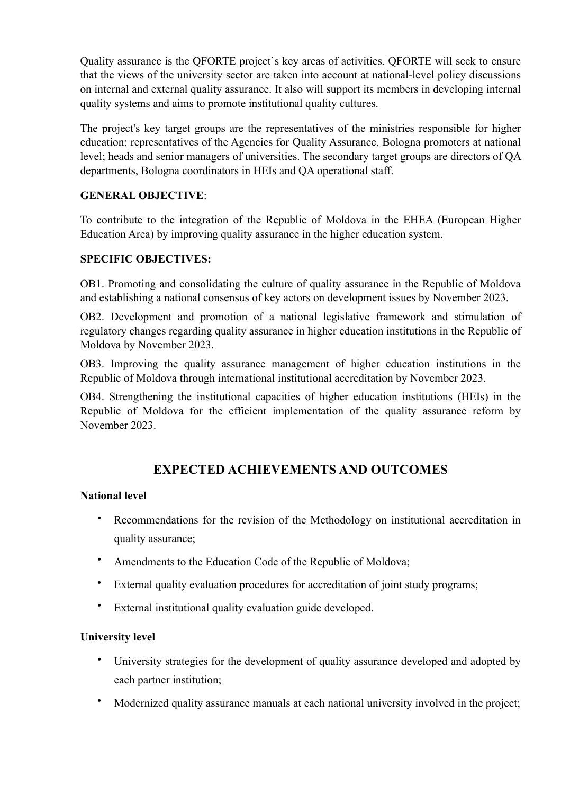Quality assurance is the QFORTE project`s key areas of activities. QFORTE will seek to ensure that the views of the university sector are taken into account at national-level policy discussions on internal and external quality assurance. It also will support its members in developing internal quality systems and aims to promote institutional quality cultures.

The project's key target groups are the representatives of the ministries responsible for higher education; representatives of the Agencies for Quality Assurance, Bologna promoters at national level; heads and senior managers of universities. The secondary target groups are directors of QA departments, Bologna coordinators in HEIs and QA operational staff.

#### **GENERAL OBJECTIVE**:

To contribute to the integration of the Republic of Moldova in the EHEA (European Higher Education Area) by improving quality assurance in the higher education system.

#### **SPECIFIC OBJECTIVES:**

OB1. Promoting and consolidating the culture of quality assurance in the Republic of Moldova and establishing a national consensus of key actors on development issues by November 2023.

OB2. Development and promotion of a national legislative framework and stimulation of regulatory changes regarding quality assurance in higher education institutions in the Republic of Moldova by November 2023.

OB3. Improving the quality assurance management of higher education institutions in the Republic of Moldova through international institutional accreditation by November 2023.

OB4. Strengthening the institutional capacities of higher education institutions (HEIs) in the Republic of Moldova for the efficient implementation of the quality assurance reform by November 2023.

# **EXPECTED ACHIEVEMENTS AND OUTCOMES**

#### **National level**

- Recommendations for the revision of the Methodology on institutional accreditation in quality assurance;
- Amendments to the Education Code of the Republic of Moldova;
- External quality evaluation procedures for accreditation of joint study programs;
- External institutional quality evaluation guide developed.

#### **University level**

- University strategies for the development of quality assurance developed and adopted by each partner institution;
- Modernized quality assurance manuals at each national university involved in the project;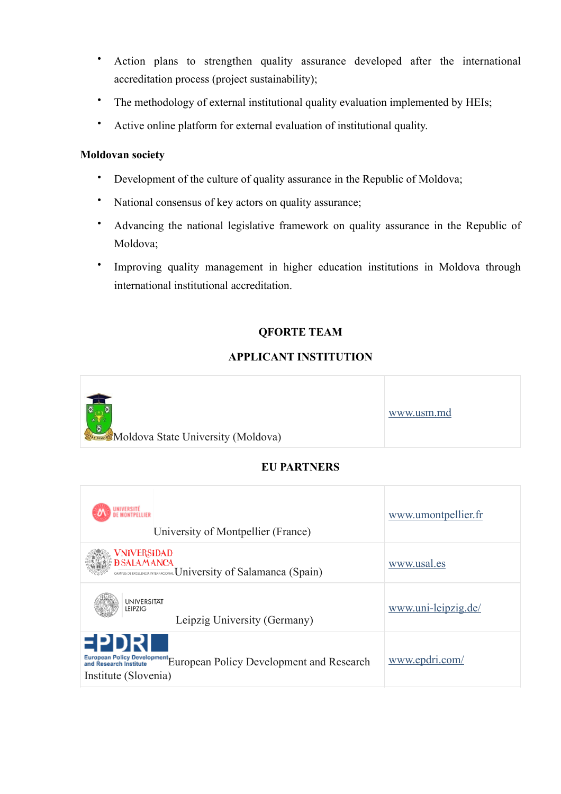- Action plans to strengthen quality assurance developed after the international accreditation process (project sustainability);
- The methodology of external institutional quality evaluation implemented by HEIs;
- Active online platform for external evaluation of institutional quality.

#### **Moldovan society**

- Development of the culture of quality assurance in the Republic of Moldova;
- National consensus of key actors on quality assurance;
- Advancing the national legislative framework on quality assurance in the Republic of Moldova;
- Improving quality management in higher education institutions in Moldova through international institutional accreditation.

### **QFORTE TEAM**

#### **APPLICANT INSTITUTION**



### **EU PARTNERS**

| UNIVERSITÉ<br>De montpellier<br>University of Montpellier (France)                                                                                                                                                                                                                                                                                                                                                                                                                                                                                                                                                                                                            | www.umontpellier.fr |
|-------------------------------------------------------------------------------------------------------------------------------------------------------------------------------------------------------------------------------------------------------------------------------------------------------------------------------------------------------------------------------------------------------------------------------------------------------------------------------------------------------------------------------------------------------------------------------------------------------------------------------------------------------------------------------|---------------------|
| VNiVERSiDAD<br><b>DSALAMANCA</b><br>CANPUS DE ENCELDICULARITERNACIONAL University of Salamanca (Spain)                                                                                                                                                                                                                                                                                                                                                                                                                                                                                                                                                                        | www.usal.es         |
| UNIVERSITAT<br>LEIPZIG<br>Leipzig University (Germany)                                                                                                                                                                                                                                                                                                                                                                                                                                                                                                                                                                                                                        | www.uni-leipzig.de/ |
| EPDR<br>$\label{prop:main} \begin{array}{ll} \textsc{European Policy Development} \textsc{Development} \textsc{European Policy Development} \textsc{Method} \textsc{Method} \textsc{Method} \textsc{Method} \textsc{Method} \textsc{Method} \textsc{Method} \textsc{Method} \textsc{Method} \textsc{Method} \textsc{Method} \textsc{Method} \textsc{Method} \textsc{Method} \textsc{Method} \textsc{Method} \textsc{Method} \textsc{Method} \textsc{Method} \textsc{Method} \textsc{Method} \textsc{Method} \textsc{Method} \textsc{Method} \textsc{Method} \textsc{Method} \textsc{Method} \textsc{Method} \textsc{Method} \textsc{Method} \textsc{$<br>Institute (Slovenia) | www.epdri.com/      |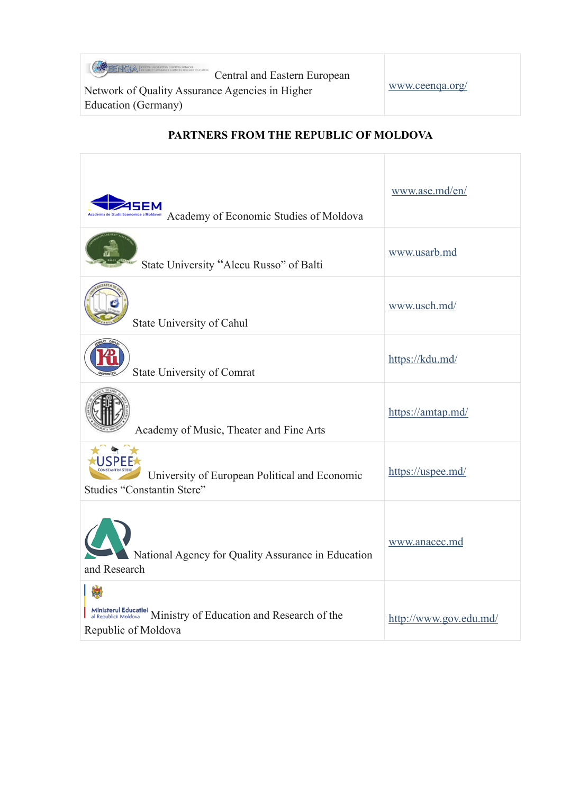**ENQA** CONSULAND EASTERN EROPEAN NETWORK Central and Eastern European<br>
ce Agencies in Higher<br>
Www.ceenqa.org/

Network of Quality Assurance Agencies in Higher Education (Germany)

| Academy of Economic Studies of Moldova                                                                            | www.ase.md/en/         |
|-------------------------------------------------------------------------------------------------------------------|------------------------|
| State University "Alecu Russo" of Balti                                                                           | www.usarb.md           |
| State University of Cahul                                                                                         | www.usch.md/           |
| <b>State University of Comrat</b>                                                                                 | https://kdu.md/        |
| Academy of Music, Theater and Fine Arts                                                                           | https://amtap.md/      |
| University of European Political and Economic<br><b>Studies "Constantin Stere"</b>                                | https://uspee.md/      |
| National Agency for Quality Assurance in Education<br>and Research                                                | www.anacec.md          |
| Ministerul Educației<br>al Republicii Moldova<br>Ministry of Education and Research of the<br>Republic of Moldova | http://www.gov.edu.md/ |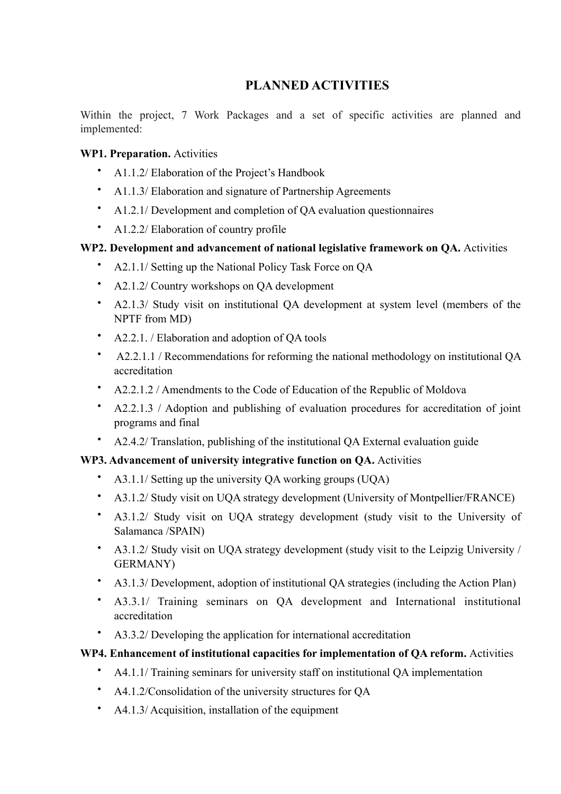# **PLANNED ACTIVITIES**

Within the project, 7 Work Packages and a set of specific activities are planned and implemented:

#### **WP1. Preparation.** Activities

- A1.1.2/ Elaboration of the Project's Handbook
- A1.1.3/ Elaboration and signature of Partnership Agreements
- A1.2.1/ Development and completion of QA evaluation questionnaires
- A1.2.2/ Elaboration of country profile

### **WP2. Development and advancement of national legislative framework on QA.** Activities

- A2.1.1/ Setting up the National Policy Task Force on OA
- A2.1.2/ Country workshops on QA development
- A2.1.3/ Study visit on institutional QA development at system level (members of the NPTF from MD)
- A2.2.1. / Elaboration and adoption of QA tools
- A2.2.1.1 / Recommendations for reforming the national methodology on institutional QA accreditation
- A2.2.1.2 / Amendments to the Code of Education of the Republic of Moldova
- A2.2.1.3 / Adoption and publishing of evaluation procedures for accreditation of joint programs and final
- A2.4.2/ Translation, publishing of the institutional QA External evaluation guide

### **WP3. Advancement of university integrative function on QA.** Activities

- A3.1.1/ Setting up the university QA working groups (UQA)
- A3.1.2/ Study visit on UQA strategy development (University of Montpellier/FRANCE)
- A3.1.2/ Study visit on UQA strategy development (study visit to the University of Salamanca /SPAIN)
- A3.1.2/ Study visit on UQA strategy development (study visit to the Leipzig University / GERMANY)
- A3.1.3/ Development, adoption of institutional QA strategies (including the Action Plan)
- A3.3.1/ Training seminars on QA development and International institutional accreditation
- A3.3.2/ Developing the application for international accreditation

### **WP4. Enhancement of institutional capacities for implementation of QA reform.** Activities

- A4.1.1/ Training seminars for university staff on institutional QA implementation
- A4.1.2/Consolidation of the university structures for QA
- A4.1.3/ Acquisition, installation of the equipment